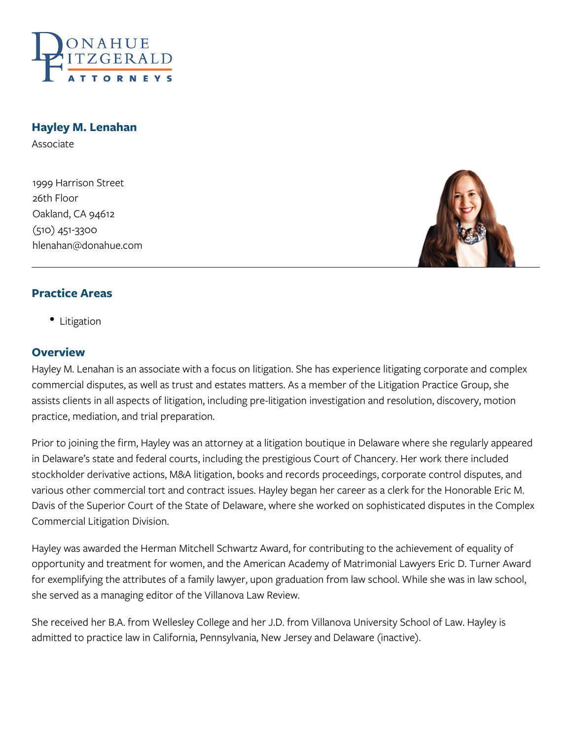

### **Hayley M. Lenahan**

Associate

1999 Harrison Street 26th Floor Oakland, CA 94612 (510) 451-3300 hlenahan@donahue.com



### **Practice Areas**

• Litigation

#### **Overview**

Hayley M. Lenahan is an associate with a focus on litigation. She has experience litigating corporate and complex commercial disputes, as well as trust and estates matters. As a member of the Litigation Practice Group, she assists clients in all aspects of litigation, including pre-litigation investigation and resolution, discovery, motion practice, mediation, and trial preparation.

Prior to joining the firm, Hayley was an attorney at a litigation boutique in Delaware where she regularly appeared in Delaware's state and federal courts, including the prestigious Court of Chancery. Her work there included stockholder derivative actions, M&A litigation, books and records proceedings, corporate control disputes, and various other commercial tort and contract issues. Hayley began her career as a clerk for the Honorable Eric M. Davis of the Superior Court of the State of Delaware, where she worked on sophisticated disputes in the Complex Commercial Litigation Division.

Hayley was awarded the Herman Mitchell Schwartz Award, for contributing to the achievement of equality of opportunity and treatment for women, and the American Academy of Matrimonial Lawyers Eric D. Turner Award for exemplifying the attributes of a family lawyer, upon graduation from law school. While she was in law school, she served as a managing editor of the Villanova Law Review.

She received her B.A. from Wellesley College and her J.D. from Villanova University School of Law. Hayley is admitted to practice law in California, Pennsylvania, New Jersey and Delaware (inactive).